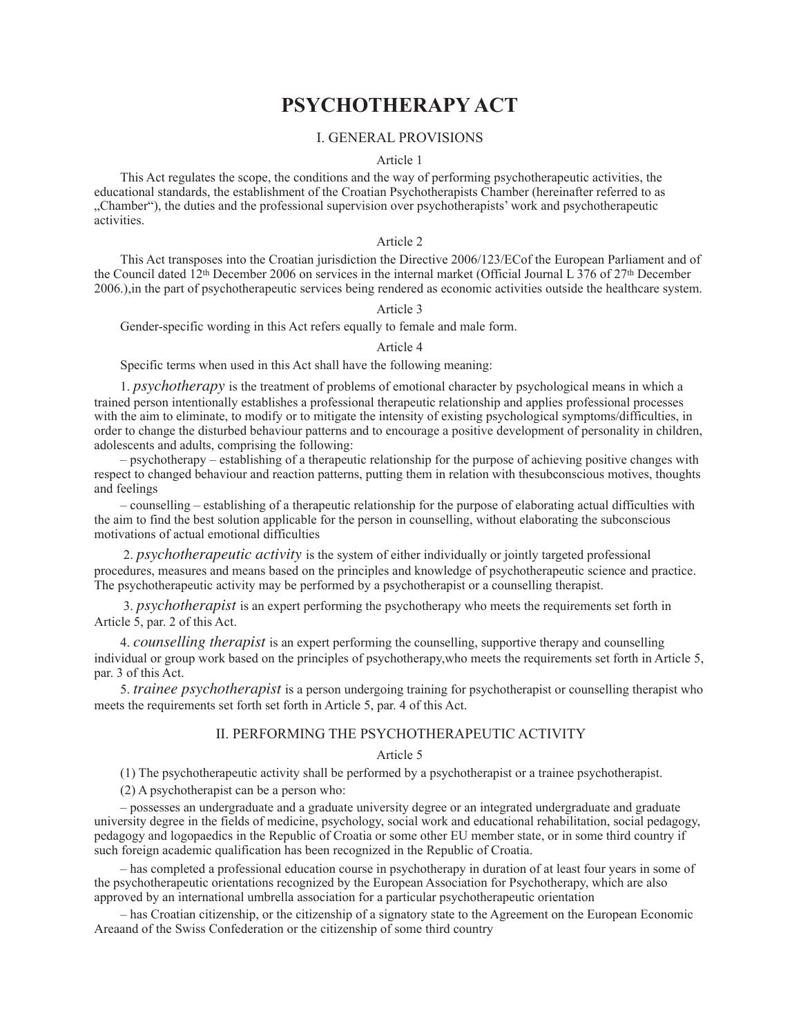# **PSYCHOTHERAPY ACT**

# I. GENERAL PROVISIONS

### Article 1

This Act regulates the scope, the conditions and the way of performing psychotherapeutic activities, the educational standards, the establishment of the Croatian Psychotherapists Chamber (hereinafter referred to as "Chamber"), the duties and the professional supervision over psychotherapists' work and psychotherapeutic activities.

### Article 2

This Act transposes into the Croatian jurisdiction the Directive 2006/123/ECof the European Parliament and of the Council dated 12th December 2006 on services in the internal market (Official Journal L 376 of 27th December 2006.),in the part of psychotherapeutic services being rendered as economic activities outside the healthcare system.

### Article 3

Gender-specific wording in this Act refers equally to female and male form.

### Article 4

Specific terms when used in this Act shall have the following meaning:

1. *psychotherapy* is the treatment of problems of emotional character by psychological means in which a trained person intentionally establishes a professional therapeutic relationship and applies professional processes with the aim to eliminate, to modify or to mitigate the intensity of existing psychological symptoms/difficulties, in order to change the disturbed behaviour patterns and to encourage a positive development of personality in children, adolescents and adults, comprising the following:

– psychotherapy – establishing of a therapeutic relationship for the purpose of achieving positive changes with respect to changed behaviour and reaction patterns, putting them in relation with thesubconscious motives, thoughts and feelings

– counselling – establishing of a therapeutic relationship for the purpose of elaborating actual difficulties with the aim to find the best solution applicable for the person in counselling, without elaborating the subconscious motivations of actual emotional difficulties

 2. *psychotherapeutic activity* is the system of either individually or jointly targeted professional procedures, measures and means based on the principles and knowledge of psychotherapeutic science and practice. The psychotherapeutic activity may be performed by a psychotherapist or a counselling therapist.

 3. *psychotherapist* is an expert performing the psychotherapy who meets the requirements set forth in Article 5, par. 2 of this Act.

4. *counselling therapist* is an expert performing the counselling, supportive therapy and counselling individual or group work based on the principles of psychotherapy,who meets the requirements set forth in Article 5, par. 3 of this Act.

5. *trainee psychotherapist* is a person undergoing training for psychotherapist or counselling therapist who meets the requirements set forth set forth in Article 5, par. 4 of this Act.

# II. PERFORMING THE PSYCHOTHERAPEUTIC ACTIVITY

# Article 5

(1) The psychotherapeutic activity shall be performed by a psychotherapist or a trainee psychotherapist.

(2) A psychotherapist can be a person who:

– possesses an undergraduate and a graduate university degree or an integrated undergraduate and graduate university degree in the fields of medicine, psychology, social work and educational rehabilitation, social pedagogy, pedagogy and logopaedics in the Republic of Croatia or some other EU member state, or in some third country if such foreign academic qualification has been recognized in the Republic of Croatia.

– has completed a professional education course in psychotherapy in duration of at least four years in some of the psychotherapeutic orientations recognized by the European Association for Psychotherapy, which are also approved by an international umbrella association for a particular psychotherapeutic orientation

– has Croatian citizenship, or the citizenship of a signatory state to the Agreement on the European Economic Areaand of the Swiss Confederation or the citizenship of some third country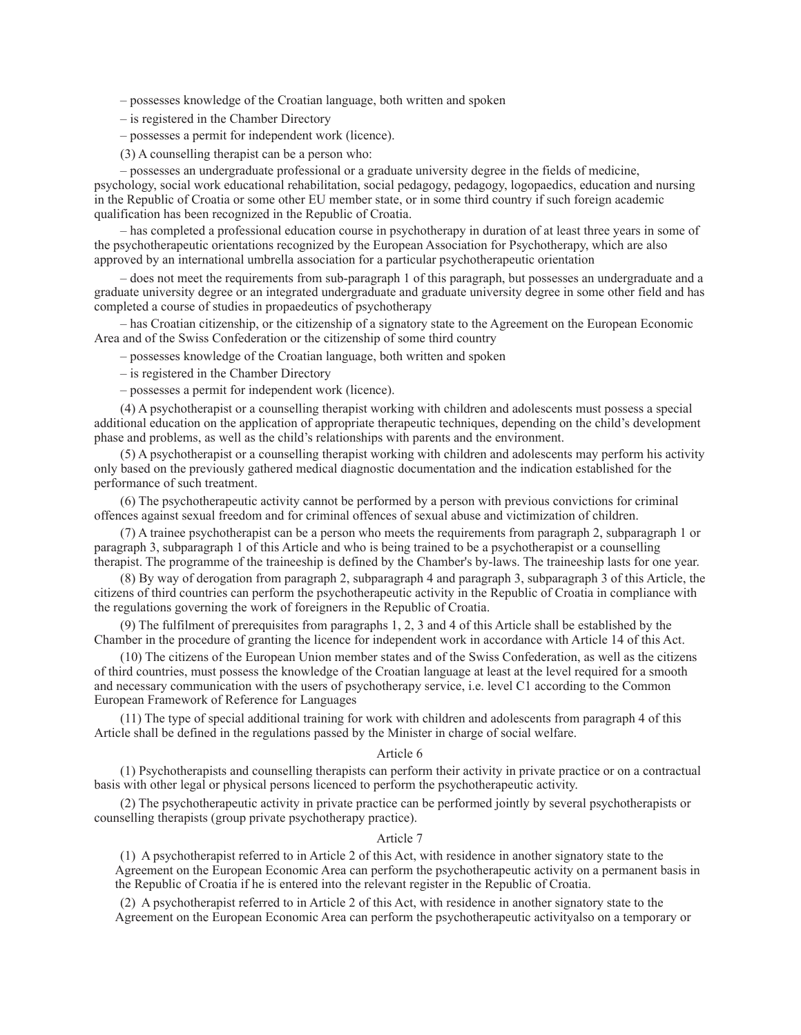– possesses knowledge of the Croatian language, both written and spoken

- is registered in the Chamber Directory
- possesses a permit for independent work (licence).
- (3) A counselling therapist can be a person who:

– possesses an undergraduate professional or a graduate university degree in the fields of medicine, psychology, social work educational rehabilitation, social pedagogy, pedagogy, logopaedics, education and nursing in the Republic of Croatia or some other EU member state, or in some third country if such foreign academic qualification has been recognized in the Republic of Croatia.

– has completed a professional education course in psychotherapy in duration of at least three years in some of the psychotherapeutic orientations recognized by the European Association for Psychotherapy, which are also approved by an international umbrella association for a particular psychotherapeutic orientation

– does not meet the requirements from sub-paragraph 1 of this paragraph, but possesses an undergraduate and a graduate university degree or an integrated undergraduate and graduate university degree in some other field and has completed a course of studies in propaedeutics of psychotherapy

– has Croatian citizenship, or the citizenship of a signatory state to the Agreement on the European Economic Area and of the Swiss Confederation or the citizenship of some third country

– possesses knowledge of the Croatian language, both written and spoken

– is registered in the Chamber Directory

– possesses a permit for independent work (licence).

(4) A psychotherapist or a counselling therapist working with children and adolescents must possess a special additional education on the application of appropriate therapeutic techniques, depending on the child's development phase and problems, as well as the child's relationships with parents and the environment.

(5) A psychotherapist or a counselling therapist working with children and adolescents may perform his activity only based on the previously gathered medical diagnostic documentation and the indication established for the performance of such treatment.

(6) The psychotherapeutic activity cannot be performed by a person with previous convictions for criminal offences against sexual freedom and for criminal offences of sexual abuse and victimization of children.

(7) A trainee psychotherapist can be a person who meets the requirements from paragraph 2, subparagraph 1 or paragraph 3, subparagraph 1 of this Article and who is being trained to be a psychotherapist or a counselling therapist. The programme of the traineeship is defined by the Chamber's by-laws. The traineeship lasts for one year.

(8) By way of derogation from paragraph 2, subparagraph 4 and paragraph 3, subparagraph 3 of this Article, the citizens of third countries can perform the psychotherapeutic activity in the Republic of Croatia in compliance with the regulations governing the work of foreigners in the Republic of Croatia.

(9) The fulfilment of prerequisites from paragraphs 1, 2, 3 and 4 of this Article shall be established by the Chamber in the procedure of granting the licence for independent work in accordance with Article 14 of this Act.

(10) The citizens of the European Union member states and of the Swiss Confederation, as well as the citizens of third countries, must possess the knowledge of the Croatian language at least at the level required for a smooth and necessary communication with the users of psychotherapy service, i.e. level C1 according to the Common European Framework of Reference for Languages

(11) The type of special additional training for work with children and adolescents from paragraph 4 of this Article shall be defined in the regulations passed by the Minister in charge of social welfare.

# Article 6

(1) Psychotherapists and counselling therapists can perform their activity in private practice or on a contractual basis with other legal or physical persons licenced to perform the psychotherapeutic activity.

(2) The psychotherapeutic activity in private practice can be performed jointly by several psychotherapists or counselling therapists (group private psychotherapy practice).

#### Article 7

(1) A psychotherapist referred to in Article 2 of this Act, with residence in another signatory state to the Agreement on the European Economic Area can perform the psychotherapeutic activity on a permanent basis in the Republic of Croatia if he is entered into the relevant register in the Republic of Croatia.

(2) A psychotherapist referred to in Article 2 of this Act, with residence in another signatory state to the Agreement on the European Economic Area can perform the psychotherapeutic activityalso on a temporary or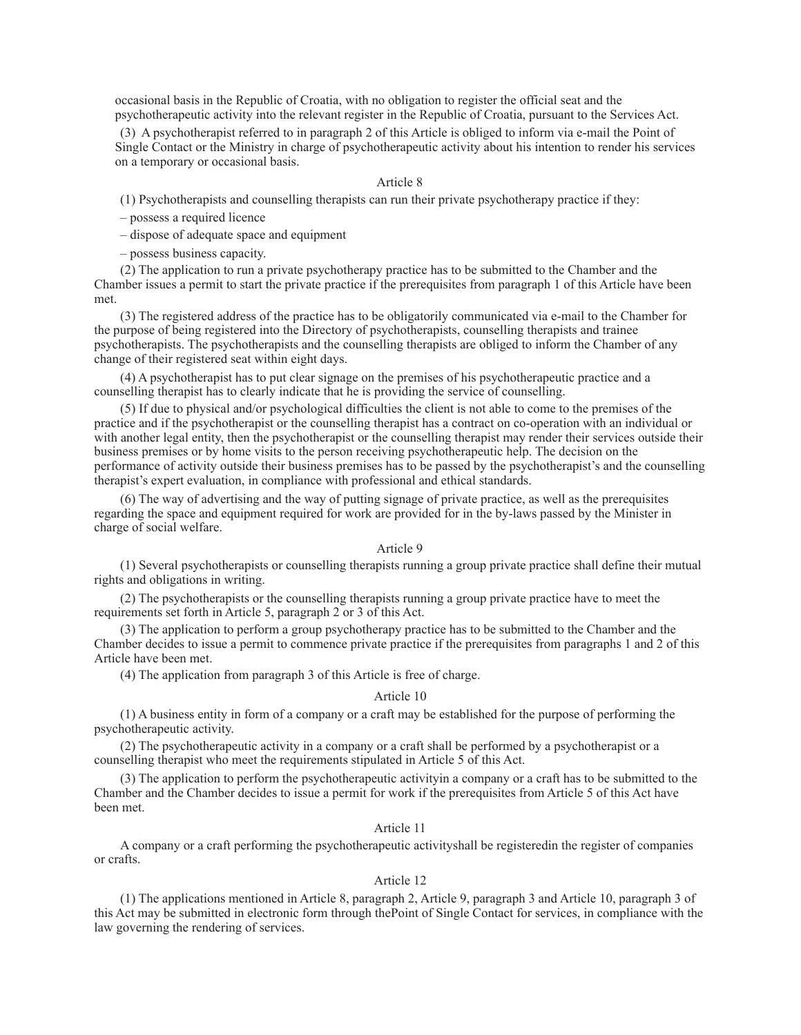occasional basis in the Republic of Croatia, with no obligation to register the official seat and the psychotherapeutic activity into the relevant register in the Republic of Croatia, pursuant to the Services Act.

(3) A psychotherapist referred to in paragraph 2 of this Article is obliged to inform via e-mail the Point of Single Contact or the Ministry in charge of psychotherapeutic activity about his intention to render his services on a temporary or occasional basis.

### Article 8

(1) Psychotherapists and counselling therapists can run their private psychotherapy practice if they:

- possess a required licence
- dispose of adequate space and equipment

– possess business capacity.

(2) The application to run a private psychotherapy practice has to be submitted to the Chamber and the Chamber issues a permit to start the private practice if the prerequisites from paragraph 1 of this Article have been met.

(3) The registered address of the practice has to be obligatorily communicated via e-mail to the Chamber for the purpose of being registered into the Directory of psychotherapists, counselling therapists and trainee psychotherapists. The psychotherapists and the counselling therapists are obliged to inform the Chamber of any change of their registered seat within eight days.

(4) A psychotherapist has to put clear signage on the premises of his psychotherapeutic practice and a counselling therapist has to clearly indicate that he is providing the service of counselling.

(5) If due to physical and/or psychological difficulties the client is not able to come to the premises of the practice and if the psychotherapist or the counselling therapist has a contract on co-operation with an individual or with another legal entity, then the psychotherapist or the counselling therapist may render their services outside their business premises or by home visits to the person receiving psychotherapeutic help. The decision on the performance of activity outside their business premises has to be passed by the psychotherapist's and the counselling therapist's expert evaluation, in compliance with professional and ethical standards.

(6) The way of advertising and the way of putting signage of private practice, as well as the prerequisites regarding the space and equipment required for work are provided for in the by-laws passed by the Minister in charge of social welfare.

### Article 9

(1) Several psychotherapists or counselling therapists running a group private practice shall define their mutual rights and obligations in writing.

(2) The psychotherapists or the counselling therapists running a group private practice have to meet the requirements set forth in Article 5, paragraph 2 or 3 of this Act.

(3) The application to perform a group psychotherapy practice has to be submitted to the Chamber and the Chamber decides to issue a permit to commence private practice if the prerequisites from paragraphs 1 and 2 of this Article have been met.

(4) The application from paragraph 3 of this Article is free of charge.

### Article 10

(1) A business entity in form of a company or a craft may be established for the purpose of performing the psychotherapeutic activity.

(2) The psychotherapeutic activity in a company or a craft shall be performed by a psychotherapist or a counselling therapist who meet the requirements stipulated in Article 5 of this Act.

(3) The application to perform the psychotherapeutic activityin a company or a craft has to be submitted to the Chamber and the Chamber decides to issue a permit for work if the prerequisites from Article 5 of this Act have been met.

#### Article 11

A company or a craft performing the psychotherapeutic activityshall be registeredin the register of companies or crafts.

### Article 12

(1) The applications mentioned in Article 8, paragraph 2, Article 9, paragraph 3 and Article 10, paragraph 3 of this Act may be submitted in electronic form through thePoint of Single Contact for services, in compliance with the law governing the rendering of services.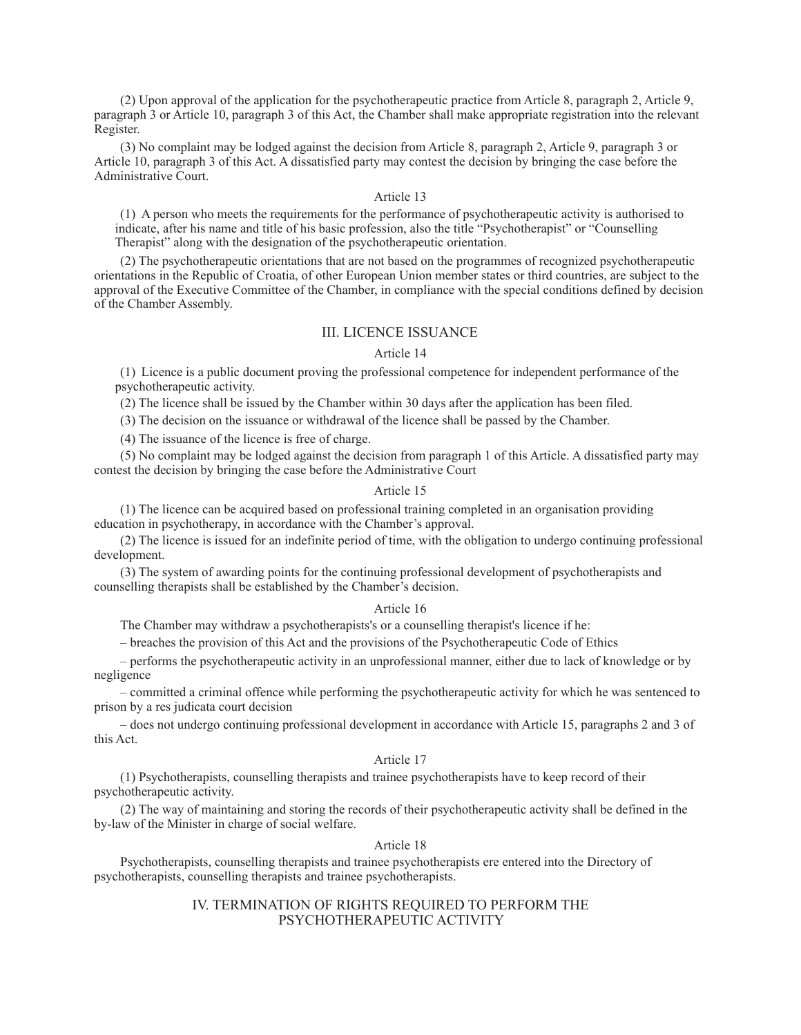(2) Upon approval of the application for the psychotherapeutic practice from Article 8, paragraph 2, Article 9, paragraph 3 or Article 10, paragraph 3 of this Act, the Chamber shall make appropriate registration into the relevant Register.

(3) No complaint may be lodged against the decision from Article 8, paragraph 2, Article 9, paragraph 3 or Article 10, paragraph 3 of this Act. A dissatisfied party may contest the decision by bringing the case before the Administrative Court.

### Article 13

(1) A person who meets the requirements for the performance of psychotherapeutic activity is authorised to indicate, after his name and title of his basic profession, also the title "Psychotherapist" or "Counselling Therapist" along with the designation of the psychotherapeutic orientation.

(2) The psychotherapeutic orientations that are not based on the programmes of recognized psychotherapeutic orientations in the Republic of Croatia, of other European Union member states or third countries, are subject to the approval of the Executive Committee of the Chamber, in compliance with the special conditions defined by decision of the Chamber Assembly.

# III. LICENCE ISSUANCE

# Article 14

(1) Licence is a public document proving the professional competence for independent performance of the psychotherapeutic activity.

(2) The licence shall be issued by the Chamber within 30 days after the application has been filed.

(3) The decision on the issuance or withdrawal of the licence shall be passed by the Chamber.

(4) The issuance of the licence is free of charge.

(5) No complaint may be lodged against the decision from paragraph 1 of this Article. A dissatisfied party may contest the decision by bringing the case before the Administrative Court

### Article 15

(1) The licence can be acquired based on professional training completed in an organisation providing education in psychotherapy, in accordance with the Chamber's approval.

(2) The licence is issued for an indefinite period of time, with the obligation to undergo continuing professional development.

(3) The system of awarding points for the continuing professional development of psychotherapists and counselling therapists shall be established by the Chamber's decision.

### Article 16

The Chamber may withdraw a psychotherapists's or a counselling therapist's licence if he:

– breaches the provision of this Act and the provisions of the Psychotherapeutic Code of Ethics

– performs the psychotherapeutic activity in an unprofessional manner, either due to lack of knowledge or by negligence

– committed a criminal offence while performing the psychotherapeutic activity for which he was sentenced to prison by a res judicata court decision

– does not undergo continuing professional development in accordance with Article 15, paragraphs 2 and 3 of this Act.

# Article 17

(1) Psychotherapists, counselling therapists and trainee psychotherapists have to keep record of their psychotherapeutic activity.

(2) The way of maintaining and storing the records of their psychotherapeutic activity shall be defined in the by-law of the Minister in charge of social welfare.

### Article 18

Psychotherapists, counselling therapists and trainee psychotherapists ere entered into the Directory of psychotherapists, counselling therapists and trainee psychotherapists.

# IV. TERMINATION OF RIGHTS REQUIRED TO PERFORM THE PSYCHOTHERAPEUTIC ACTIVITY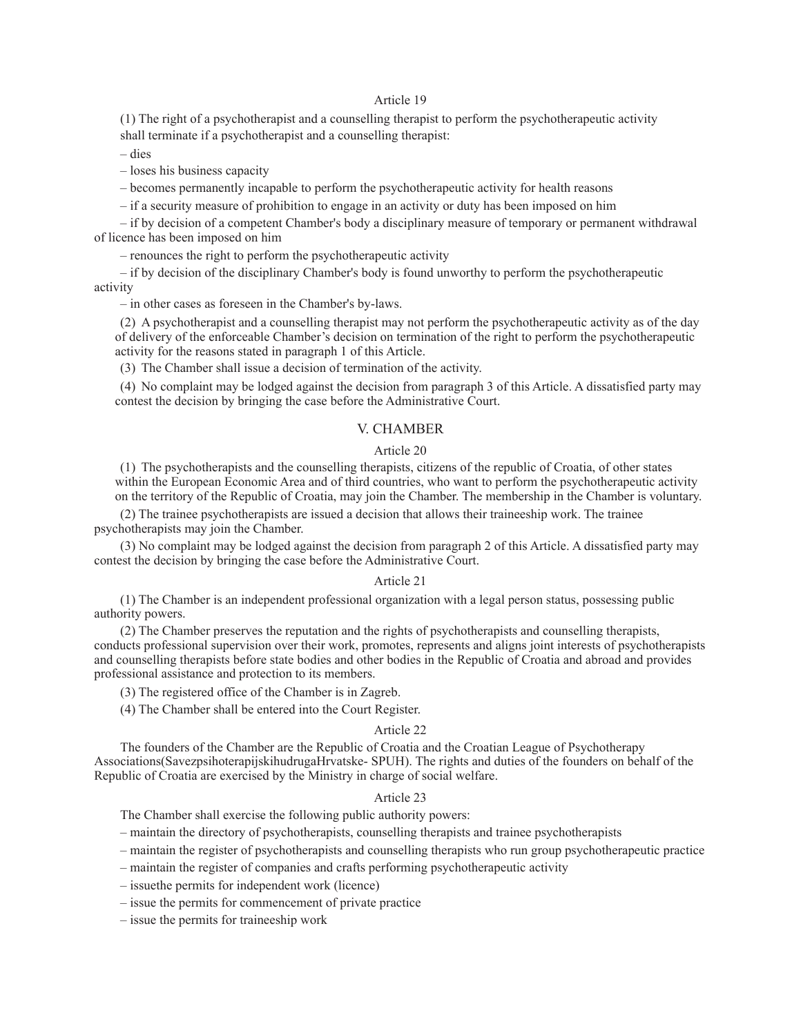# Article 19

(1) The right of a psychotherapist and a counselling therapist to perform the psychotherapeutic activity shall terminate if a psychotherapist and a counselling therapist:

– dies

– loses his business capacity

– becomes permanently incapable to perform the psychotherapeutic activity for health reasons

– if a security measure of prohibition to engage in an activity or duty has been imposed on him

– if by decision of a competent Chamber's body a disciplinary measure of temporary or permanent withdrawal of licence has been imposed on him

– renounces the right to perform the psychotherapeutic activity

– if by decision of the disciplinary Chamber's body is found unworthy to perform the psychotherapeutic activity

– in other cases as foreseen in the Chamber's by-laws.

(2) A psychotherapist and a counselling therapist may not perform the psychotherapeutic activity as of the day of delivery of the enforceable Chamber's decision on termination of the right to perform the psychotherapeutic activity for the reasons stated in paragraph 1 of this Article.

(3) The Chamber shall issue a decision of termination of the activity.

(4) No complaint may be lodged against the decision from paragraph 3 of this Article. A dissatisfied party may contest the decision by bringing the case before the Administrative Court.

### V. CHAMBER

# Article 20

(1) The psychotherapists and the counselling therapists, citizens of the republic of Croatia, of other states within the European Economic Area and of third countries, who want to perform the psychotherapeutic activity on the territory of the Republic of Croatia, may join the Chamber. The membership in the Chamber is voluntary.

(2) The trainee psychotherapists are issued a decision that allows their traineeship work. The trainee psychotherapists may join the Chamber.

(3) No complaint may be lodged against the decision from paragraph 2 of this Article. A dissatisfied party may contest the decision by bringing the case before the Administrative Court.

# Article 21

(1) The Chamber is an independent professional organization with a legal person status, possessing public authority powers.

(2) The Chamber preserves the reputation and the rights of psychotherapists and counselling therapists, conducts professional supervision over their work, promotes, represents and aligns joint interests of psychotherapists and counselling therapists before state bodies and other bodies in the Republic of Croatia and abroad and provides professional assistance and protection to its members.

(3) The registered office of the Chamber is in Zagreb.

(4) The Chamber shall be entered into the Court Register.

### Article 22

The founders of the Chamber are the Republic of Croatia and the Croatian League of Psychotherapy Associations(SavezpsihoterapijskihudrugaHrvatske- SPUH). The rights and duties of the founders on behalf of the Republic of Croatia are exercised by the Ministry in charge of social welfare.

# Article 23

The Chamber shall exercise the following public authority powers:

– maintain the directory of psychotherapists, counselling therapists and trainee psychotherapists

– maintain the register of psychotherapists and counselling therapists who run group psychotherapeutic practice

- maintain the register of companies and crafts performing psychotherapeutic activity
- issuethe permits for independent work (licence)
- issue the permits for commencement of private practice
- issue the permits for traineeship work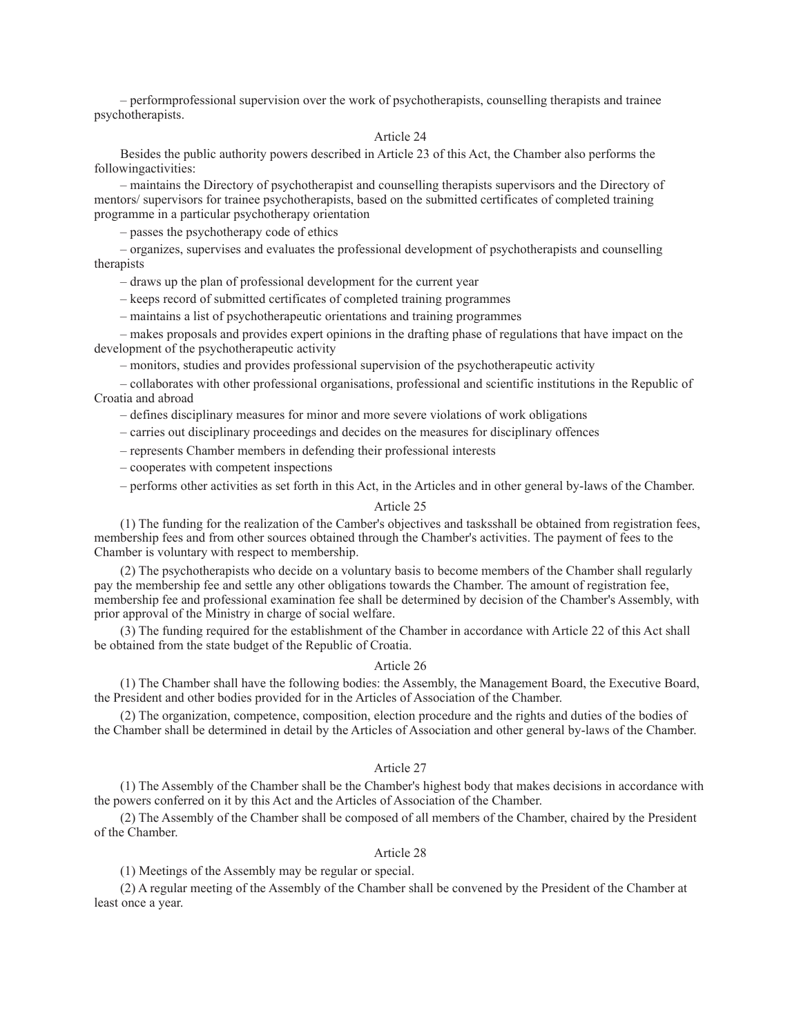– performprofessional supervision over the work of psychotherapists, counselling therapists and trainee psychotherapists.

### Article 24

Besides the public authority powers described in Article 23 of this Act, the Chamber also performs the followingactivities:

– maintains the Directory of psychotherapist and counselling therapists supervisors and the Directory of mentors/ supervisors for trainee psychotherapists, based on the submitted certificates of completed training programme in a particular psychotherapy orientation

– passes the psychotherapy code of ethics

– organizes, supervises and evaluates the professional development of psychotherapists and counselling therapists

– draws up the plan of professional development for the current year

– keeps record of submitted certificates of completed training programmes

– maintains a list of psychotherapeutic orientations and training programmes

– makes proposals and provides expert opinions in the drafting phase of regulations that have impact on the development of the psychotherapeutic activity

– monitors, studies and provides professional supervision of the psychotherapeutic activity

– collaborates with other professional organisations, professional and scientific institutions in the Republic of Croatia and abroad

– defines disciplinary measures for minor and more severe violations of work obligations

– carries out disciplinary proceedings and decides on the measures for disciplinary offences

– represents Chamber members in defending their professional interests

– cooperates with competent inspections

– performs other activities as set forth in this Act, in the Articles and in other general by-laws of the Chamber.

#### Article 25

(1) The funding for the realization of the Camber's objectives and tasksshall be obtained from registration fees, membership fees and from other sources obtained through the Chamber's activities. The payment of fees to the Chamber is voluntary with respect to membership.

(2) The psychotherapists who decide on a voluntary basis to become members of the Chamber shall regularly pay the membership fee and settle any other obligations towards the Chamber. The amount of registration fee, membership fee and professional examination fee shall be determined by decision of the Chamber's Assembly, with prior approval of the Ministry in charge of social welfare.

(3) The funding required for the establishment of the Chamber in accordance with Article 22 of this Act shall be obtained from the state budget of the Republic of Croatia.

#### Article 26

(1) The Chamber shall have the following bodies: the Assembly, the Management Board, the Executive Board, the President and other bodies provided for in the Articles of Association of the Chamber.

(2) The organization, competence, composition, election procedure and the rights and duties of the bodies of the Chamber shall be determined in detail by the Articles of Association and other general by-laws of the Chamber.

### Article 27

(1) The Assembly of the Chamber shall be the Chamber's highest body that makes decisions in accordance with the powers conferred on it by this Act and the Articles of Association of the Chamber.

(2) The Assembly of the Chamber shall be composed of all members of the Chamber, chaired by the President of the Chamber.

### Article 28

(1) Meetings of the Assembly may be regular or special.

(2) A regular meeting of the Assembly of the Chamber shall be convened by the President of the Chamber at least once a year.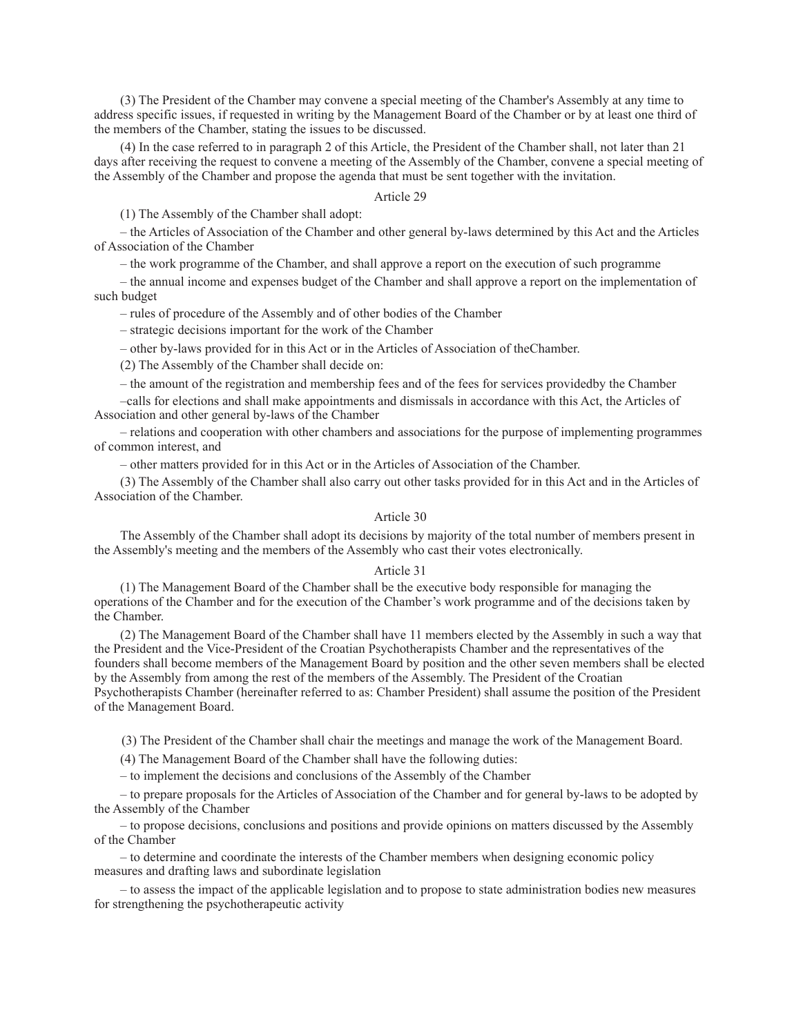(3) The President of the Chamber may convene a special meeting of the Chamber's Assembly at any time to address specific issues, if requested in writing by the Management Board of the Chamber or by at least one third of the members of the Chamber, stating the issues to be discussed.

(4) In the case referred to in paragraph 2 of this Article, the President of the Chamber shall, not later than 21 days after receiving the request to convene a meeting of the Assembly of the Chamber, convene a special meeting of the Assembly of the Chamber and propose the agenda that must be sent together with the invitation.

### Article 29

(1) The Assembly of the Chamber shall adopt:

– the Articles of Association of the Chamber and other general by-laws determined by this Act and the Articles of Association of the Chamber

– the work programme of the Chamber, and shall approve a report on the execution of such programme

– the annual income and expenses budget of the Chamber and shall approve a report on the implementation of such budget

– rules of procedure of the Assembly and of other bodies of the Chamber

– strategic decisions important for the work of the Chamber

– other by-laws provided for in this Act or in the Articles of Association of theChamber.

(2) The Assembly of the Chamber shall decide on:

– the amount of the registration and membership fees and of the fees for services providedby the Chamber –calls for elections and shall make appointments and dismissals in accordance with this Act, the Articles of

Association and other general by-laws of the Chamber

– relations and cooperation with other chambers and associations for the purpose of implementing programmes of common interest, and

– other matters provided for in this Act or in the Articles of Association of the Chamber.

(3) The Assembly of the Chamber shall also carry out other tasks provided for in this Act and in the Articles of Association of the Chamber.

### Article 30

The Assembly of the Chamber shall adopt its decisions by majority of the total number of members present in the Assembly's meeting and the members of the Assembly who cast their votes electronically.

### Article 31

(1) The Management Board of the Chamber shall be the executive body responsible for managing the operations of the Chamber and for the execution of the Chamber's work programme and of the decisions taken by the Chamber.

(2) The Management Board of the Chamber shall have 11 members elected by the Assembly in such a way that the President and the Vice-President of the Croatian Psychotherapists Chamber and the representatives of the founders shall become members of the Management Board by position and the other seven members shall be elected by the Assembly from among the rest of the members of the Assembly. The President of the Croatian Psychotherapists Chamber (hereinafter referred to as: Chamber President) shall assume the position of the President of the Management Board.

(3) The President of the Chamber shall chair the meetings and manage the work of the Management Board.

(4) The Management Board of the Chamber shall have the following duties:

– to implement the decisions and conclusions of the Assembly of the Chamber

– to prepare proposals for the Articles of Association of the Chamber and for general by-laws to be adopted by the Assembly of the Chamber

– to propose decisions, conclusions and positions and provide opinions on matters discussed by the Assembly of the Chamber

– to determine and coordinate the interests of the Chamber members when designing economic policy measures and drafting laws and subordinate legislation

– to assess the impact of the applicable legislation and to propose to state administration bodies new measures for strengthening the psychotherapeutic activity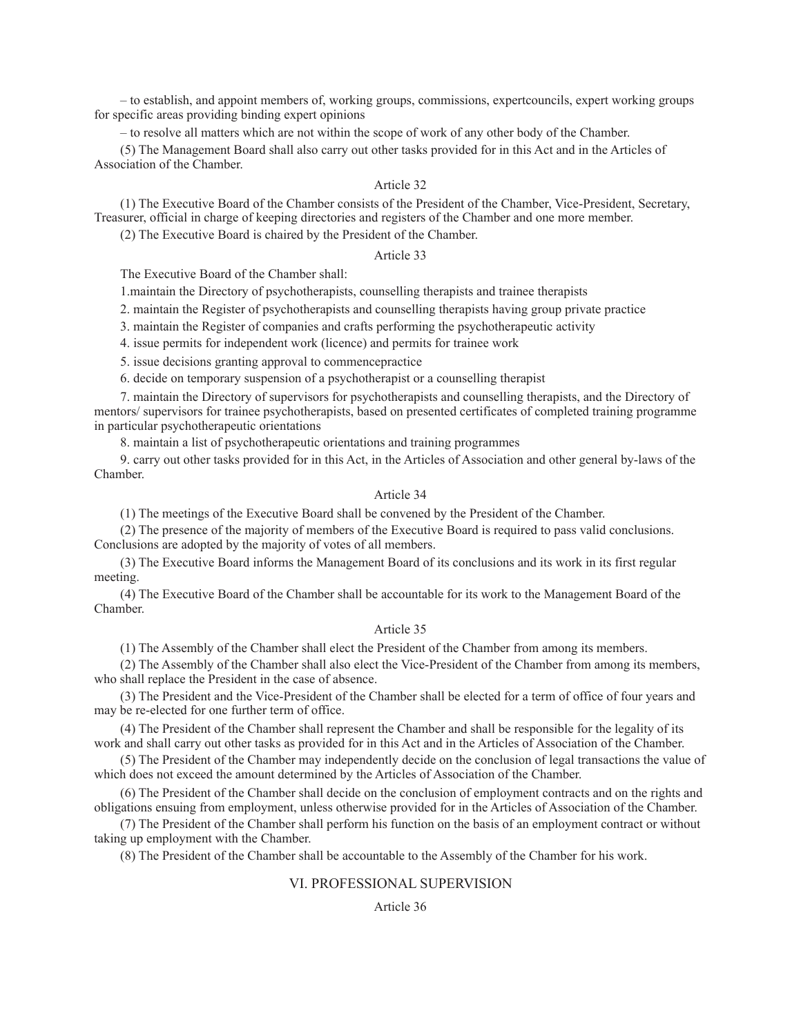– to establish, and appoint members of, working groups, commissions, expertcouncils, expert working groups for specific areas providing binding expert opinions

– to resolve all matters which are not within the scope of work of any other body of the Chamber.

(5) The Management Board shall also carry out other tasks provided for in this Act and in the Articles of Association of the Chamber.

### Article 32

(1) The Executive Board of the Chamber consists of the President of the Chamber, Vice-President, Secretary, Treasurer, official in charge of keeping directories and registers of the Chamber and one more member.

(2) The Executive Board is chaired by the President of the Chamber.

# Article 33

The Executive Board of the Chamber shall:

1.maintain the Directory of psychotherapists, counselling therapists and trainee therapists

2. maintain the Register of psychotherapists and counselling therapists having group private practice

3. maintain the Register of companies and crafts performing the psychotherapeutic activity

4. issue permits for independent work (licence) and permits for trainee work

5. issue decisions granting approval to commencepractice

6. decide on temporary suspension of a psychotherapist or a counselling therapist

7. maintain the Directory of supervisors for psychotherapists and counselling therapists, and the Directory of mentors/ supervisors for trainee psychotherapists, based on presented certificates of completed training programme in particular psychotherapeutic orientations

8. maintain a list of psychotherapeutic orientations and training programmes

9. carry out other tasks provided for in this Act, in the Articles of Association and other general by-laws of the Chamber.

# Article 34

(1) The meetings of the Executive Board shall be convened by the President of the Chamber.

(2) The presence of the majority of members of the Executive Board is required to pass valid conclusions. Conclusions are adopted by the majority of votes of all members.

(3) The Executive Board informs the Management Board of its conclusions and its work in its first regular meeting.

(4) The Executive Board of the Chamber shall be accountable for its work to the Management Board of the Chamber.

### Article 35

(1) The Assembly of the Chamber shall elect the President of the Chamber from among its members.

(2) The Assembly of the Chamber shall also elect the Vice-President of the Chamber from among its members, who shall replace the President in the case of absence.

(3) The President and the Vice-President of the Chamber shall be elected for a term of office of four years and may be re-elected for one further term of office.

(4) The President of the Chamber shall represent the Chamber and shall be responsible for the legality of its work and shall carry out other tasks as provided for in this Act and in the Articles of Association of the Chamber.

(5) The President of the Chamber may independently decide on the conclusion of legal transactions the value of which does not exceed the amount determined by the Articles of Association of the Chamber.

(6) The President of the Chamber shall decide on the conclusion of employment contracts and on the rights and obligations ensuing from employment, unless otherwise provided for in the Articles of Association of the Chamber.

(7) The President of the Chamber shall perform his function on the basis of an employment contract or without taking up employment with the Chamber.

(8) The President of the Chamber shall be accountable to the Assembly of the Chamber for his work.

# VI. PROFESSIONAL SUPERVISION

Article 36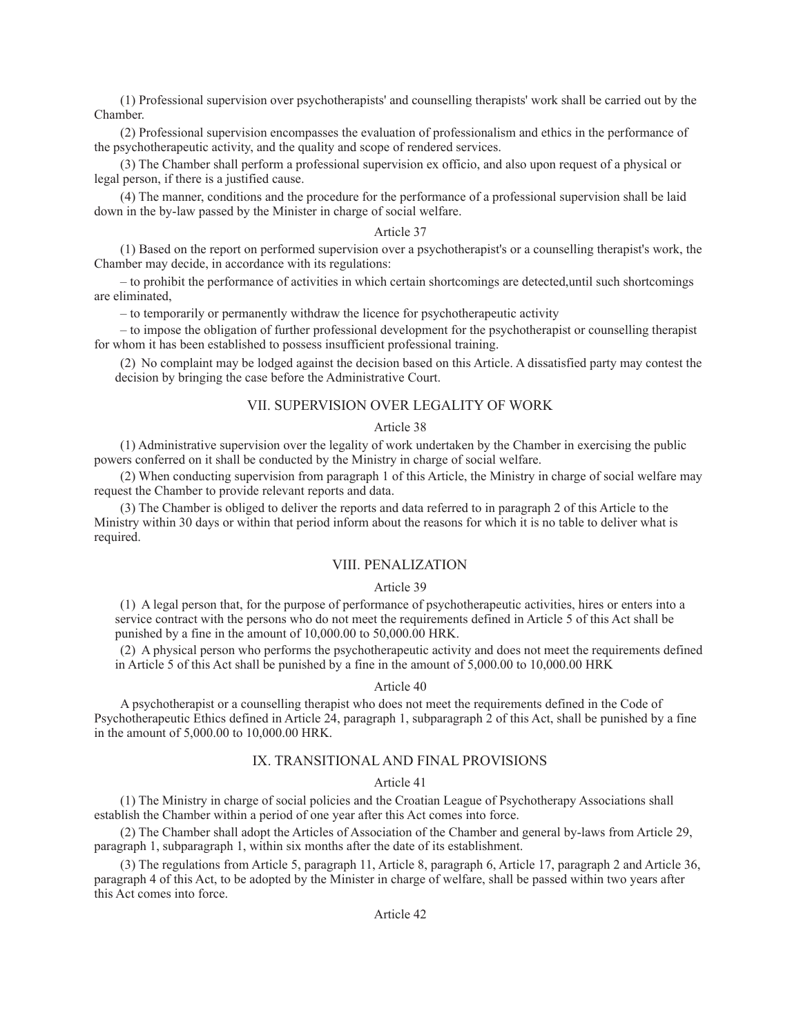(1) Professional supervision over psychotherapists' and counselling therapists' work shall be carried out by the Chamber.

(2) Professional supervision encompasses the evaluation of professionalism and ethics in the performance of the psychotherapeutic activity, and the quality and scope of rendered services.

(3) The Chamber shall perform a professional supervision ex officio, and also upon request of a physical or legal person, if there is a justified cause.

(4) The manner, conditions and the procedure for the performance of a professional supervision shall be laid down in the by-law passed by the Minister in charge of social welfare.

### Article 37

(1) Based on the report on performed supervision over a psychotherapist's or a counselling therapist's work, the Chamber may decide, in accordance with its regulations:

– to prohibit the performance of activities in which certain shortcomings are detected,until such shortcomings are eliminated,

– to temporarily or permanently withdraw the licence for psychotherapeutic activity

– to impose the obligation of further professional development for the psychotherapist or counselling therapist for whom it has been established to possess insufficient professional training.

(2) No complaint may be lodged against the decision based on this Article. A dissatisfied party may contest the decision by bringing the case before the Administrative Court.

# VII. SUPERVISION OVER LEGALITY OF WORK

### Article 38

(1) Administrative supervision over the legality of work undertaken by the Chamber in exercising the public powers conferred on it shall be conducted by the Ministry in charge of social welfare.

(2) When conducting supervision from paragraph 1 of this Article, the Ministry in charge of social welfare may request the Chamber to provide relevant reports and data.

(3) The Chamber is obliged to deliver the reports and data referred to in paragraph 2 of this Article to the Ministry within 30 days or within that period inform about the reasons for which it is no table to deliver what is required.

### VIII. PENALIZATION

### Article 39

(1) A legal person that, for the purpose of performance of psychotherapeutic activities, hires or enters into a service contract with the persons who do not meet the requirements defined in Article 5 of this Act shall be punished by a fine in the amount of 10,000.00 to 50,000.00 HRK.

(2) A physical person who performs the psychotherapeutic activity and does not meet the requirements defined in Article 5 of this Act shall be punished by a fine in the amount of 5,000.00 to 10,000.00 HRK

#### Article 40

A psychotherapist or a counselling therapist who does not meet the requirements defined in the Code of Psychotherapeutic Ethics defined in Article 24, paragraph 1, subparagraph 2 of this Act, shall be punished by a fine in the amount of 5,000.00 to 10,000.00 HRK.

### IX. TRANSITIONAL AND FINAL PROVISIONS

### Article 41

(1) The Ministry in charge of social policies and the Croatian League of Psychotherapy Associations shall establish the Chamber within a period of one year after this Act comes into force.

(2) The Chamber shall adopt the Articles of Association of the Chamber and general by-laws from Article 29, paragraph 1, subparagraph 1, within six months after the date of its establishment.

(3) The regulations from Article 5, paragraph 11, Article 8, paragraph 6, Article 17, paragraph 2 and Article 36, paragraph 4 of this Act, to be adopted by the Minister in charge of welfare, shall be passed within two years after this Act comes into force.